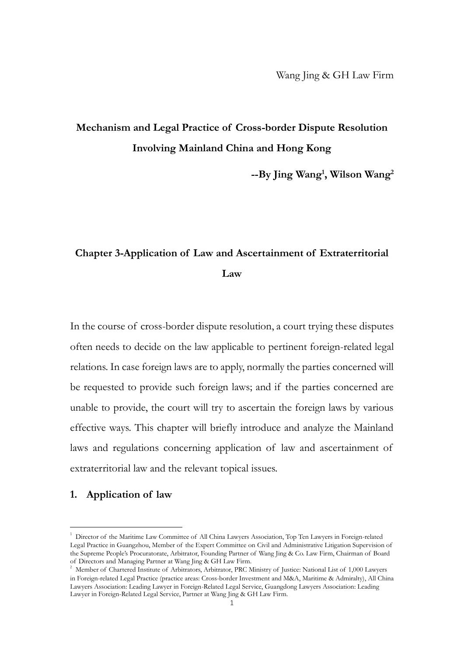# **Mechanism and Legal Practice of Cross-border Dispute Resolution Involving Mainland China and Hong Kong**

**--By Jing Wang<sup>1</sup> , Wilson Wang<sup>2</sup>**

# **Chapter 3-Application of Law and Ascertainment of Extraterritorial Law**

In the course of cross-border dispute resolution, a court trying these disputes often needs to decide on the law applicable to pertinent foreign-related legal relations. In case foreign laws are to apply, normally the parties concerned will be requested to provide such foreign laws; and if the parties concerned are unable to provide, the court will try to ascertain the foreign laws by various effective ways. This chapter will briefly introduce and analyze the Mainland laws and regulations concerning application of law and ascertainment of extraterritorial law and the relevant topical issues.

## **1. Application of law**

<sup>&</sup>lt;sup>1</sup> Director of the Maritime Law Committee of All China Lawyers Association, Top Ten Lawyers in Foreign-related Legal Practice in Guangzhou, Member of the Expert Committee on Civil and Administrative Litigation Supervision of the Supreme People's Procuratorate, Arbitrator, Founding Partner of Wang Jing & Co. Law Firm, Chairman of Board of Directors and Managing Partner at Wang Jing & GH Law Firm.

<sup>&</sup>lt;sup>2</sup> Member of Chartered Institute of Arbitrators, Arbitrator, PRC Ministry of Justice: National List of 1,000 Lawyers in Foreign-related Legal Practice (practice areas: Cross-border Investment and M&A, Maritime & Admiralty), All China Lawyers Association: Leading Lawyer in Foreign-Related Legal Service, Guangdong Lawyers Association: Leading Lawyer in Foreign-Related Legal Service, Partner at Wang Jing & GH Law Firm.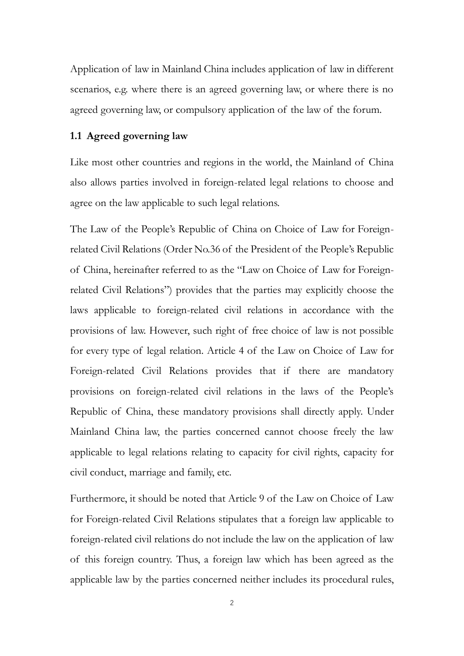Application of law in Mainland China includes application of law in different scenarios, e.g. where there is an agreed governing law, or where there is no agreed governing law, or compulsory application of the law of the forum.

## **1.1 Agreed governing law**

Like most other countries and regions in the world, the Mainland of China also allows parties involved in foreign-related legal relations to choose and agree on the law applicable to such legal relations.

The Law of the People's Republic of China on Choice of Law for Foreignrelated Civil Relations (Order No.36 of the President of the People's Republic of China, hereinafter referred to as the "Law on Choice of Law for Foreignrelated Civil Relations") provides that the parties may explicitly choose the laws applicable to foreign-related civil relations in accordance with the provisions of law. However, such right of free choice of law is not possible for every type of legal relation. Article 4 of the Law on Choice of Law for Foreign-related Civil Relations provides that if there are mandatory provisions on foreign-related civil relations in the laws of the People's Republic of China, these mandatory provisions shall directly apply. Under Mainland China law, the parties concerned cannot choose freely the law applicable to legal relations relating to capacity for civil rights, capacity for civil conduct, marriage and family, etc.

Furthermore, it should be noted that Article 9 of the Law on Choice of Law for Foreign-related Civil Relations stipulates that a foreign law applicable to foreign-related civil relations do not include the law on the application of law of this foreign country. Thus, a foreign law which has been agreed as the applicable law by the parties concerned neither includes its procedural rules,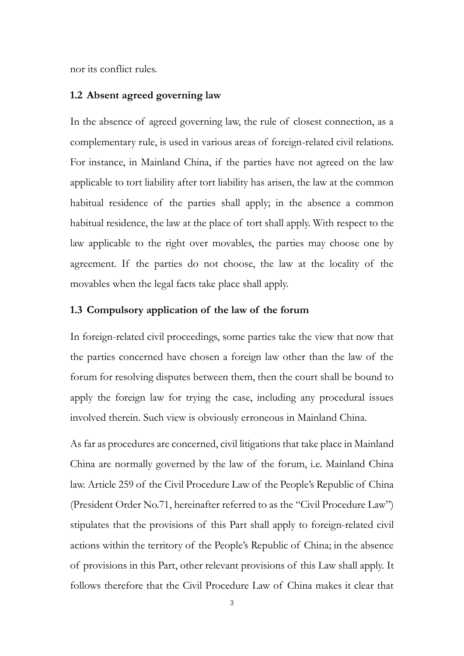nor its conflict rules.

## **1.2 Absent agreed governing law**

In the absence of agreed governing law, the rule of closest connection, as a complementary rule, is used in various areas of foreign-related civil relations. For instance, in Mainland China, if the parties have not agreed on the law applicable to tort liability after tort liability has arisen, the law at the common habitual residence of the parties shall apply; in the absence a common habitual residence, the law at the place of tort shall apply. With respect to the law applicable to the right over movables, the parties may choose one by agreement. If the parties do not choose, the law at the locality of the movables when the legal facts take place shall apply.

#### **1.3 Compulsory application of the law of the forum**

In foreign-related civil proceedings, some parties take the view that now that the parties concerned have chosen a foreign law other than the law of the forum for resolving disputes between them, then the court shall be bound to apply the foreign law for trying the case, including any procedural issues involved therein. Such view is obviously erroneous in Mainland China.

As far as procedures are concerned, civil litigations that take place in Mainland China are normally governed by the law of the forum, i.e. Mainland China law. Article 259 of the Civil Procedure Law of the People's Republic of China (President Order No.71, hereinafter referred to as the "Civil Procedure Law") stipulates that the provisions of this Part shall apply to foreign-related civil actions within the territory of the People's Republic of China; in the absence of provisions in this Part, other relevant provisions of this Law shall apply. It follows therefore that the Civil Procedure Law of China makes it clear that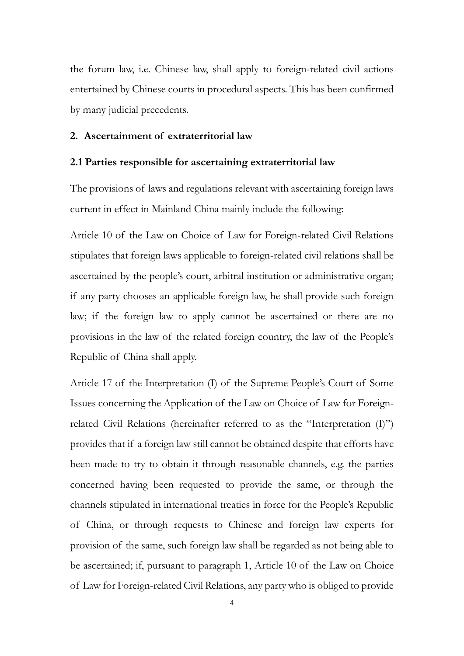the forum law, i.e. Chinese law, shall apply to foreign-related civil actions entertained by Chinese courts in procedural aspects. This has been confirmed by many judicial precedents.

### **2. Ascertainment of extraterritorial law**

#### **2.1 Parties responsible for ascertaining extraterritorial law**

The provisions of laws and regulations relevant with ascertaining foreign laws current in effect in Mainland China mainly include the following:

Article 10 of the Law on Choice of Law for Foreign-related Civil Relations stipulates that foreign laws applicable to foreign-related civil relations shall be ascertained by the people's court, arbitral institution or administrative organ; if any party chooses an applicable foreign law, he shall provide such foreign law; if the foreign law to apply cannot be ascertained or there are no provisions in the law of the related foreign country, the law of the People's Republic of China shall apply.

Article 17 of the Interpretation (I) of the Supreme People's Court of Some Issues concerning the Application of the Law on Choice of Law for Foreignrelated Civil Relations (hereinafter referred to as the "Interpretation (I)") provides that if a foreign law still cannot be obtained despite that efforts have been made to try to obtain it through reasonable channels, e.g. the parties concerned having been requested to provide the same, or through the channels stipulated in international treaties in force for the People's Republic of China, or through requests to Chinese and foreign law experts for provision of the same, such foreign law shall be regarded as not being able to be ascertained; if, pursuant to paragraph 1, Article 10 of the Law on Choice of Law for Foreign-related Civil Relations, any party who is obliged to provide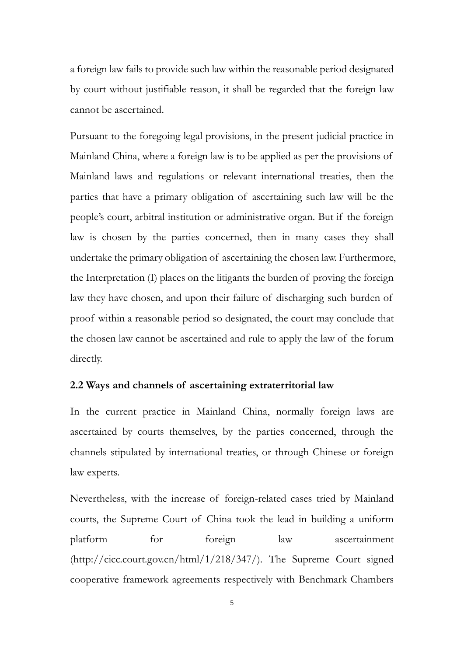a foreign law fails to provide such law within the reasonable period designated by court without justifiable reason, it shall be regarded that the foreign law cannot be ascertained.

Pursuant to the foregoing legal provisions, in the present judicial practice in Mainland China, where a foreign law is to be applied as per the provisions of Mainland laws and regulations or relevant international treaties, then the parties that have a primary obligation of ascertaining such law will be the people's court, arbitral institution or administrative organ. But if the foreign law is chosen by the parties concerned, then in many cases they shall undertake the primary obligation of ascertaining the chosen law. Furthermore, the Interpretation (I) places on the litigants the burden of proving the foreign law they have chosen, and upon their failure of discharging such burden of proof within a reasonable period so designated, the court may conclude that the chosen law cannot be ascertained and rule to apply the law of the forum directly.

#### **2.2 Ways and channels of ascertaining extraterritorial law**

In the current practice in Mainland China, normally foreign laws are ascertained by courts themselves, by the parties concerned, through the channels stipulated by international treaties, or through Chinese or foreign law experts.

Nevertheless, with the increase of foreign-related cases tried by Mainland courts, the Supreme Court of China took the lead in building a uniform platform for foreign law ascertainment [\(http://cicc.court.gov.cn/html/1/218/347/\)](http://cicc.court.gov.cn/html/1/218/347/). The Supreme Court signed cooperative framework agreements respectively with Benchmark Chambers